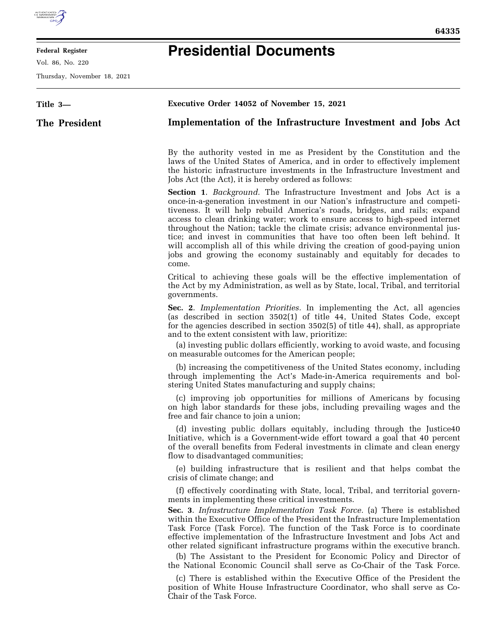

Ξ

## **Federal Register**

Vol. 86, No. 220

Thursday, November 18, 2021

## **Presidential Documents**

| Title 3-      | Executive Order 14052 of November 15, 2021                                                                                                                                                                                                                                                                                                                                                                                                                                                                                                                                                                                                                                                             |
|---------------|--------------------------------------------------------------------------------------------------------------------------------------------------------------------------------------------------------------------------------------------------------------------------------------------------------------------------------------------------------------------------------------------------------------------------------------------------------------------------------------------------------------------------------------------------------------------------------------------------------------------------------------------------------------------------------------------------------|
| The President | Implementation of the Infrastructure Investment and Jobs Act                                                                                                                                                                                                                                                                                                                                                                                                                                                                                                                                                                                                                                           |
|               | By the authority vested in me as President by the Constitution and the<br>laws of the United States of America, and in order to effectively implement<br>the historic infrastructure investments in the Infrastructure Investment and<br>Jobs Act (the Act), it is hereby ordered as follows:                                                                                                                                                                                                                                                                                                                                                                                                          |
|               | <b>Section 1.</b> Background. The Infrastructure Investment and Jobs Act is a<br>once-in-a-generation investment in our Nation's infrastructure and competi-<br>tiveness. It will help rebuild America's roads, bridges, and rails; expand<br>access to clean drinking water; work to ensure access to high-speed internet<br>throughout the Nation; tackle the climate crisis; advance environmental jus-<br>tice; and invest in communities that have too often been left behind. It<br>will accomplish all of this while driving the creation of good-paying union<br>jobs and growing the economy sustainably and equitably for decades to<br>come.                                                |
|               | Critical to achieving these goals will be the effective implementation of<br>the Act by my Administration, as well as by State, local, Tribal, and territorial<br>governments.                                                                                                                                                                                                                                                                                                                                                                                                                                                                                                                         |
|               | Sec. 2. Implementation Priorities. In implementing the Act, all agencies<br>(as described in section 3502(1) of title 44, United States Code, except<br>for the agencies described in section 3502(5) of title 44), shall, as appropriate<br>and to the extent consistent with law, prioritize:                                                                                                                                                                                                                                                                                                                                                                                                        |
|               | (a) investing public dollars efficiently, working to avoid waste, and focusing<br>on measurable outcomes for the American people;                                                                                                                                                                                                                                                                                                                                                                                                                                                                                                                                                                      |
|               | (b) increasing the competitiveness of the United States economy, including<br>through implementing the Act's Made-in-America requirements and bol-<br>stering United States manufacturing and supply chains;                                                                                                                                                                                                                                                                                                                                                                                                                                                                                           |
|               | (c) improving job opportunities for millions of Americans by focusing<br>on high labor standards for these jobs, including prevailing wages and the<br>free and fair chance to join a union;                                                                                                                                                                                                                                                                                                                                                                                                                                                                                                           |
|               | (d) investing public dollars equitably, including through the Justice40<br>Initiative, which is a Government-wide effort toward a goal that 40 percent<br>of the overall benefits from Federal investments in climate and clean energy<br>flow to disadvantaged communities;                                                                                                                                                                                                                                                                                                                                                                                                                           |
|               | (e) building infrastructure that is resilient and that helps combat the<br>crisis of climate change; and                                                                                                                                                                                                                                                                                                                                                                                                                                                                                                                                                                                               |
|               | (f) effectively coordinating with State, local, Tribal, and territorial govern-<br>ments in implementing these critical investments.<br>Sec. 3. Infrastructure Implementation Task Force. (a) There is established<br>within the Executive Office of the President the Infrastructure Implementation<br>Task Force (Task Force). The function of the Task Force is to coordinate<br>effective implementation of the Infrastructure Investment and Jobs Act and<br>other related significant infrastructure programs within the executive branch.<br>(b) The Assistant to the President for Economic Policy and Director of<br>the National Economic Council shall serve as Co-Chair of the Task Force. |
|               | (c) There is established within the Executive Office of the President the<br>position of White House Infrastructure Coordinator, who shall serve as Co-<br>Chair of the Task Force.                                                                                                                                                                                                                                                                                                                                                                                                                                                                                                                    |
|               |                                                                                                                                                                                                                                                                                                                                                                                                                                                                                                                                                                                                                                                                                                        |